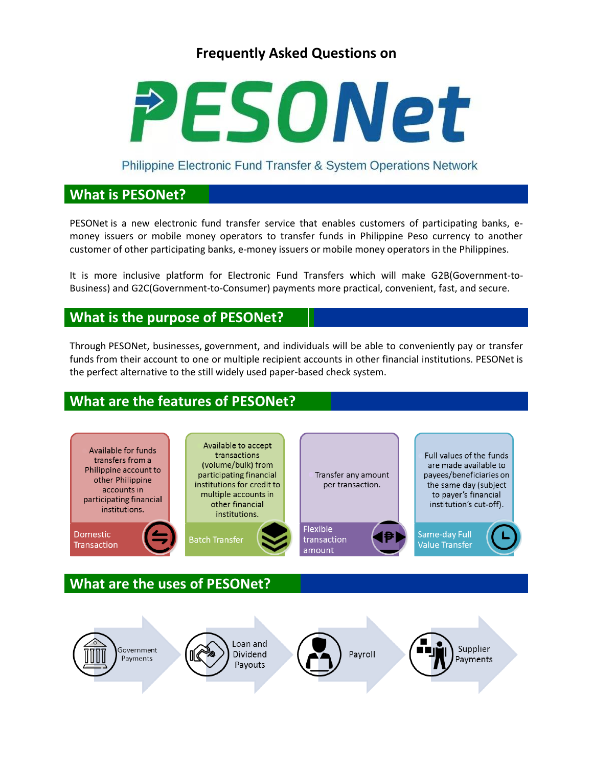# **Frequently Asked Questions on**



Philippine Electronic Fund Transfer & System Operations Network

## **What is PESONet?**

PESONet is a new electronic fund transfer service that enables customers of participating banks, emoney issuers or mobile money operators to transfer funds in Philippine Peso currency to another customer of other participating banks, e-money issuers or mobile money operators in the Philippines.

It is more inclusive platform for Electronic Fund Transfers which will make G2B(Government-to-Business) and G2C(Government-to-Consumer) payments more practical, convenient, fast, and secure.

### **What is the purpose of PESONet?**

Through PESONet, businesses, government, and individuals will be able to conveniently pay or transfer funds from their account to one or multiple recipient accounts in other financial institutions. PESONet is the perfect alternative to the still widely used paper-based check system.

# **What are the features of PESONet?**



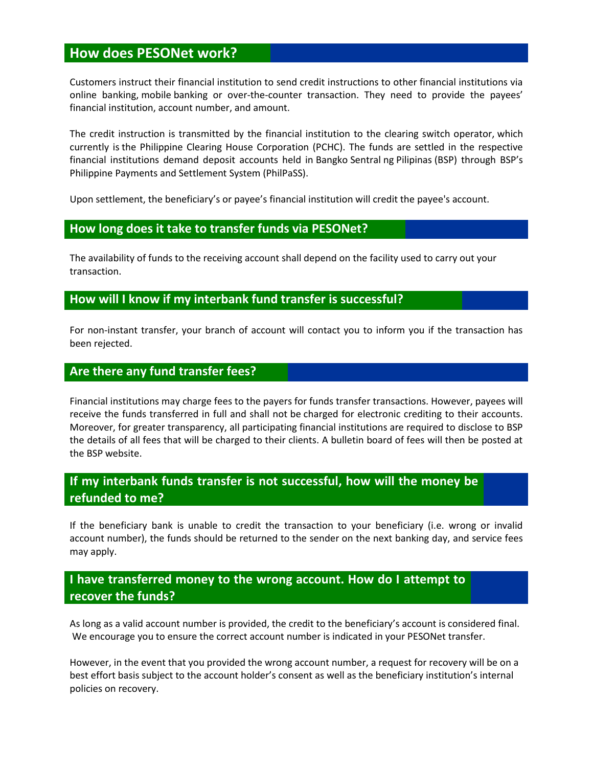## **How does PESONet work?**

Customers instruct their financial institution to send credit instructions to other financial institutions via online banking, mobile banking or over-the-counter transaction. They need to provide the payees' financial institution, account number, and amount.

The credit instruction is transmitted by the financial institution to the clearing switch operator, which currently is the Philippine Clearing House Corporation (PCHC). The funds are settled in the respective financial institutions demand deposit accounts held in Bangko Sentral ng Pilipinas (BSP) through BSP's Philippine Payments and Settlement System (PhilPaSS).

Upon settlement, the beneficiary's or payee's financial institution will credit the payee's account.

#### **How long does it take to transfer funds via PESONet?**

The availability of funds to the receiving account shall depend on the facility used to carry out your transaction.

### **How will I know if my interbank fund transfer is successful?**

For non-instant transfer, your branch of account will contact you to inform you if the transaction has been rejected.

#### **Are there any fund transfer fees?**

Financial institutions may charge fees to the payers for funds transfer transactions. However, payees will receive the funds transferred in full and shall not be charged for electronic crediting to their accounts. Moreover, for greater transparency, all participating financial institutions are required to disclose to BSP the details of all fees that will be charged to their clients. A bulletin board of fees will then be posted at the BSP website.

### **If my interbank funds transfer is not successful, how will the money be refunded to me?**

If the beneficiary bank is unable to credit the transaction to your beneficiary (i.e. wrong or invalid account number), the funds should be returned to the sender on the next banking day, and service fees may apply.

### **I have transferred money to the wrong account. How do I attempt to recover the funds?**

As long as a valid account number is provided, the credit to the beneficiary's account is considered final. We encourage you to ensure the correct account number is indicated in your PESONet transfer.

However, in the event that you provided the wrong account number, a request for recovery will be on a best effort basis subject to the account holder's consent as well as the beneficiary institution's internal policies on recovery.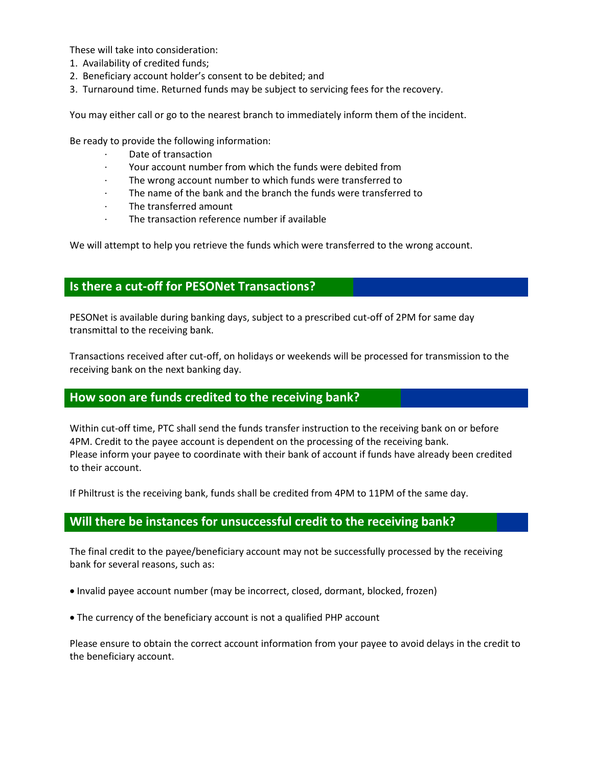These will take into consideration:

- 1. Availability of credited funds;
- 2. Beneficiary account holder's consent to be debited; and
- 3. Turnaround time. Returned funds may be subject to servicing fees for the recovery.

You may either call or go to the nearest branch to immediately inform them of the incident.

Be ready to provide the following information:

- Date of transaction
- · Your account number from which the funds were debited from
- The wrong account number to which funds were transferred to
- The name of the bank and the branch the funds were transferred to
- · The transferred amount
- The transaction reference number if available

We will attempt to help you retrieve the funds which were transferred to the wrong account.

### **Is there a cut-off for PESONet Transactions?**

PESONet is available during banking days, subject to a prescribed cut-off of 2PM for same day transmittal to the receiving bank.

Transactions received after cut-off, on holidays or weekends will be processed for transmission to the receiving bank on the next banking day.

#### **How soon are funds credited to the receiving bank?**

Within cut-off time, PTC shall send the funds transfer instruction to the receiving bank on or before 4PM. Credit to the payee account is dependent on the processing of the receiving bank. Please inform your payee to coordinate with their bank of account if funds have already been credited to their account.

If Philtrust is the receiving bank, funds shall be credited from 4PM to 11PM of the same day.

### **Will there be instances for unsuccessful credit to the receiving bank?**

The final credit to the payee/beneficiary account may not be successfully processed by the receiving bank for several reasons, such as:

- Invalid payee account number (may be incorrect, closed, dormant, blocked, frozen)
- The currency of the beneficiary account is not a qualified PHP account

Please ensure to obtain the correct account information from your payee to avoid delays in the credit to the beneficiary account.